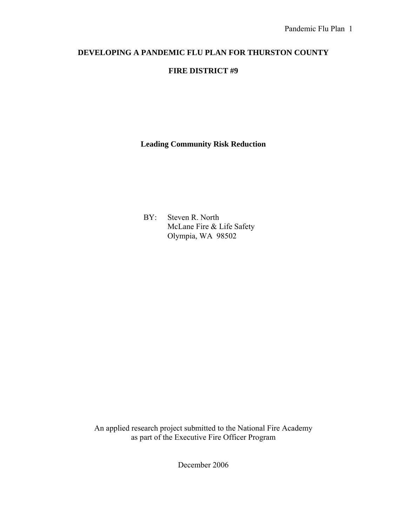## **DEVELOPING A PANDEMIC FLU PLAN FOR THURSTON COUNTY**

## **FIRE DISTRICT #9**

**Leading Community Risk Reduction** 

 BY: Steven R. North McLane Fire & Life Safety Olympia, WA 98502

An applied research project submitted to the National Fire Academy as part of the Executive Fire Officer Program

December 2006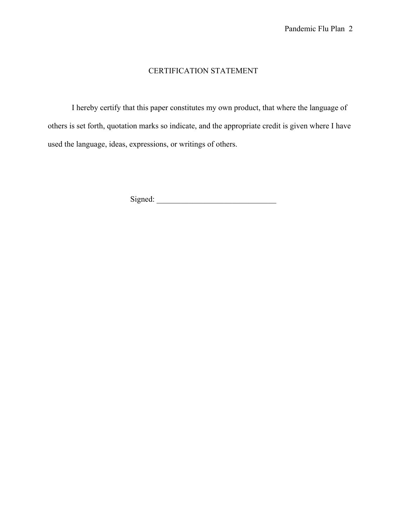## CERTIFICATION STATEMENT

 I hereby certify that this paper constitutes my own product, that where the language of others is set forth, quotation marks so indicate, and the appropriate credit is given where I have used the language, ideas, expressions, or writings of others.

Signed: \_\_\_\_\_\_\_\_\_\_\_\_\_\_\_\_\_\_\_\_\_\_\_\_\_\_\_\_\_\_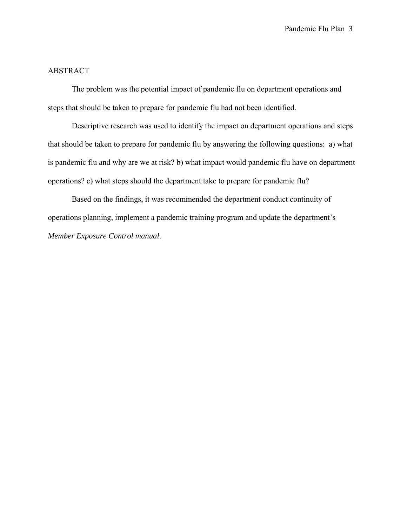## ABSTRACT

The problem was the potential impact of pandemic flu on department operations and steps that should be taken to prepare for pandemic flu had not been identified.

 Descriptive research was used to identify the impact on department operations and steps that should be taken to prepare for pandemic flu by answering the following questions: a) what is pandemic flu and why are we at risk? b) what impact would pandemic flu have on department operations? c) what steps should the department take to prepare for pandemic flu?

 Based on the findings, it was recommended the department conduct continuity of operations planning, implement a pandemic training program and update the department's *Member Exposure Control manual*.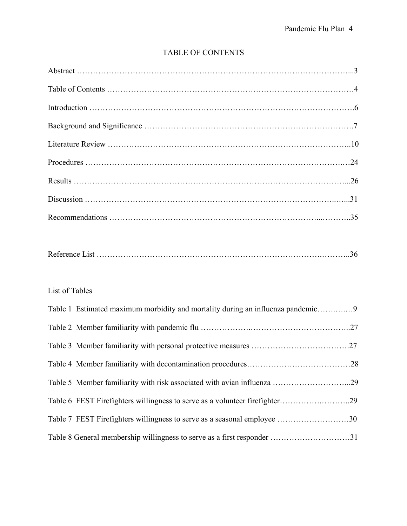## TABLE OF CONTENTS

## List of Tables

| Table 1 Estimated maximum morbidity and mortality during an influenza pandemic9 |  |
|---------------------------------------------------------------------------------|--|
|                                                                                 |  |
|                                                                                 |  |
|                                                                                 |  |
| Table 5 Member familiarity with risk associated with avian influenza 29         |  |
|                                                                                 |  |
| Table 7 FEST Firefighters willingness to serve as a seasonal employee 30        |  |
|                                                                                 |  |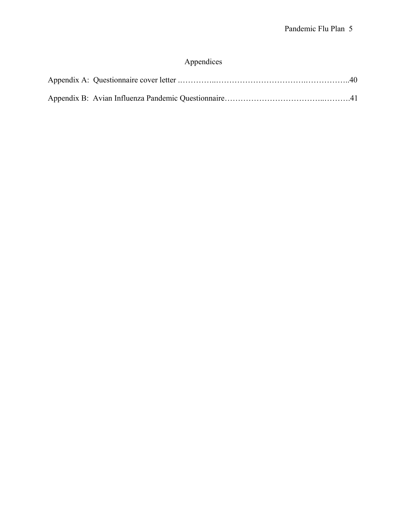# Appendices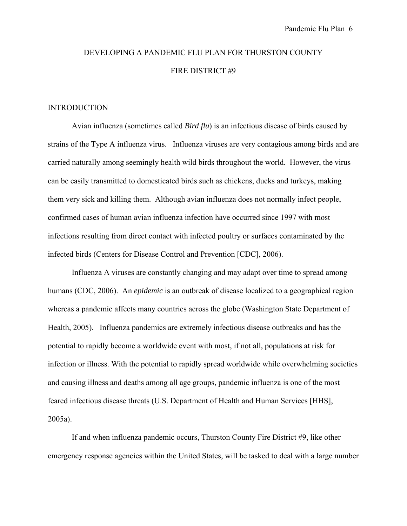# DEVELOPING A PANDEMIC FLU PLAN FOR THURSTON COUNTY FIRE DISTRICT #9

#### INTRODUCTION

Avian influenza (sometimes called *Bird flu*) is an infectious disease of birds caused by strains of the Type A influenza virus. Influenza viruses are very contagious among birds and are carried naturally among seemingly health wild birds throughout the world. However, the virus can be easily transmitted to domesticated birds such as chickens, ducks and turkeys, making them very sick and killing them. Although avian influenza does not normally infect people, confirmed cases of human avian influenza infection have occurred since 1997 with most infections resulting from direct contact with infected poultry or surfaces contaminated by the infected birds (Centers for Disease Control and Prevention [CDC], 2006).

Influenza A viruses are constantly changing and may adapt over time to spread among humans (CDC, 2006). An *epidemic* is an outbreak of disease localized to a geographical region whereas a pandemic affects many countries across the globe (Washington State Department of Health, 2005). Influenza pandemics are extremely infectious disease outbreaks and has the potential to rapidly become a worldwide event with most, if not all, populations at risk for infection or illness. With the potential to rapidly spread worldwide while overwhelming societies and causing illness and deaths among all age groups, pandemic influenza is one of the most feared infectious disease threats (U.S. Department of Health and Human Services [HHS], 2005a).

If and when influenza pandemic occurs, Thurston County Fire District #9, like other emergency response agencies within the United States, will be tasked to deal with a large number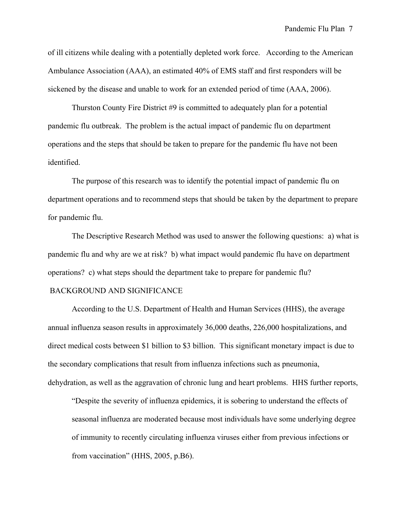of ill citizens while dealing with a potentially depleted work force. According to the American Ambulance Association (AAA), an estimated 40% of EMS staff and first responders will be sickened by the disease and unable to work for an extended period of time (AAA, 2006).

Thurston County Fire District #9 is committed to adequately plan for a potential pandemic flu outbreak. The problem is the actual impact of pandemic flu on department operations and the steps that should be taken to prepare for the pandemic flu have not been identified.

The purpose of this research was to identify the potential impact of pandemic flu on department operations and to recommend steps that should be taken by the department to prepare for pandemic flu.

The Descriptive Research Method was used to answer the following questions: a) what is pandemic flu and why are we at risk? b) what impact would pandemic flu have on department operations? c) what steps should the department take to prepare for pandemic flu?

#### BACKGROUND AND SIGNIFICANCE

According to the U.S. Department of Health and Human Services (HHS), the average annual influenza season results in approximately 36,000 deaths, 226,000 hospitalizations, and direct medical costs between \$1 billion to \$3 billion. This significant monetary impact is due to the secondary complications that result from influenza infections such as pneumonia, dehydration, as well as the aggravation of chronic lung and heart problems. HHS further reports,

"Despite the severity of influenza epidemics, it is sobering to understand the effects of seasonal influenza are moderated because most individuals have some underlying degree of immunity to recently circulating influenza viruses either from previous infections or from vaccination" (HHS, 2005, p.B6).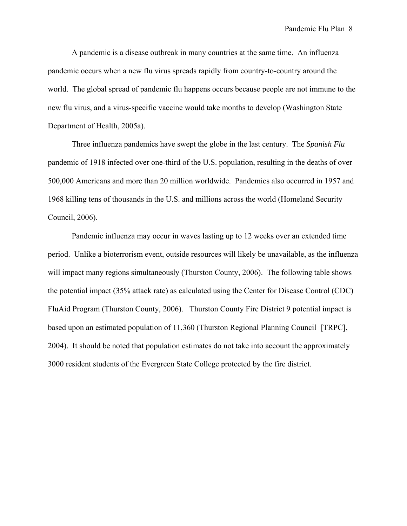A pandemic is a disease outbreak in many countries at the same time. An influenza pandemic occurs when a new flu virus spreads rapidly from country-to-country around the world. The global spread of pandemic flu happens occurs because people are not immune to the new flu virus, and a virus-specific vaccine would take months to develop (Washington State Department of Health, 2005a).

 Three influenza pandemics have swept the globe in the last century. The *Spanish Flu* pandemic of 1918 infected over one-third of the U.S. population, resulting in the deaths of over 500,000 Americans and more than 20 million worldwide. Pandemics also occurred in 1957 and 1968 killing tens of thousands in the U.S. and millions across the world (Homeland Security Council, 2006).

Pandemic influenza may occur in waves lasting up to 12 weeks over an extended time period. Unlike a bioterrorism event, outside resources will likely be unavailable, as the influenza will impact many regions simultaneously (Thurston County, 2006). The following table shows the potential impact (35% attack rate) as calculated using the Center for Disease Control (CDC) FluAid Program (Thurston County, 2006). Thurston County Fire District 9 potential impact is based upon an estimated population of 11,360 (Thurston Regional Planning Council [TRPC], 2004). It should be noted that population estimates do not take into account the approximately 3000 resident students of the Evergreen State College protected by the fire district.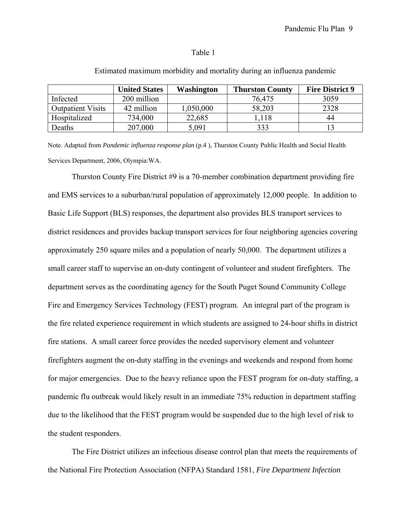### Table 1

|                          | <b>United States</b> | Washington | <b>Thurston County</b> | <b>Fire District 9</b> |
|--------------------------|----------------------|------------|------------------------|------------------------|
| Infected                 | 200 million          |            | 76,475                 | 3059                   |
| <b>Outpatient Visits</b> | 42 million           | 0.050,000  | 58,203                 | 2328                   |
| Hospitalized             | 734,000              | 22,685     | 1.118                  | 44                     |
| Deaths                   | 207,000              | 5,091      | 333                    |                        |

#### Estimated maximum morbidity and mortality during an influenza pandemic

Note. Adapted from *Pandemic influenza response plan* (p.4 ), Thurston County Public Health and Social Health Services Department, 2006, Olympia:WA.

Thurston County Fire District #9 is a 70-member combination department providing fire and EMS services to a suburban/rural population of approximately 12,000 people. In addition to Basic Life Support (BLS) responses, the department also provides BLS transport services to district residences and provides backup transport services for four neighboring agencies covering approximately 250 square miles and a population of nearly 50,000. The department utilizes a small career staff to supervise an on-duty contingent of volunteer and student firefighters. The department serves as the coordinating agency for the South Puget Sound Community College Fire and Emergency Services Technology (FEST) program. An integral part of the program is the fire related experience requirement in which students are assigned to 24-hour shifts in district fire stations. A small career force provides the needed supervisory element and volunteer firefighters augment the on-duty staffing in the evenings and weekends and respond from home for major emergencies. Due to the heavy reliance upon the FEST program for on-duty staffing, a pandemic flu outbreak would likely result in an immediate 75% reduction in department staffing due to the likelihood that the FEST program would be suspended due to the high level of risk to the student responders.

The Fire District utilizes an infectious disease control plan that meets the requirements of the National Fire Protection Association (NFPA) Standard 1581, *Fire Department Infection*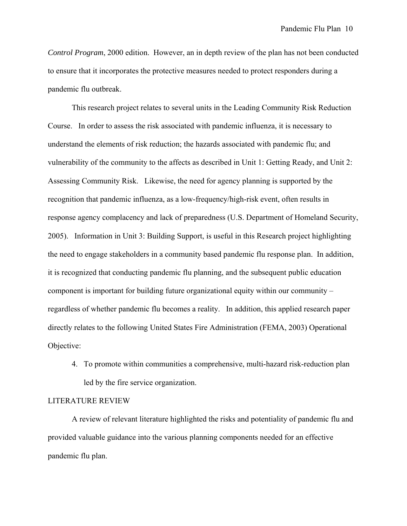*Control Program*, 2000 edition. However, an in depth review of the plan has not been conducted to ensure that it incorporates the protective measures needed to protect responders during a pandemic flu outbreak.

This research project relates to several units in the Leading Community Risk Reduction Course. In order to assess the risk associated with pandemic influenza, it is necessary to understand the elements of risk reduction; the hazards associated with pandemic flu; and vulnerability of the community to the affects as described in Unit 1: Getting Ready, and Unit 2: Assessing Community Risk. Likewise, the need for agency planning is supported by the recognition that pandemic influenza, as a low-frequency/high-risk event, often results in response agency complacency and lack of preparedness (U.S. Department of Homeland Security, 2005). Information in Unit 3: Building Support, is useful in this Research project highlighting the need to engage stakeholders in a community based pandemic flu response plan. In addition, it is recognized that conducting pandemic flu planning, and the subsequent public education component is important for building future organizational equity within our community – regardless of whether pandemic flu becomes a reality. In addition, this applied research paper directly relates to the following United States Fire Administration (FEMA, 2003) Operational Objective:

4. To promote within communities a comprehensive, multi-hazard risk-reduction plan led by the fire service organization.

### LITERATURE REVIEW

 A review of relevant literature highlighted the risks and potentiality of pandemic flu and provided valuable guidance into the various planning components needed for an effective pandemic flu plan.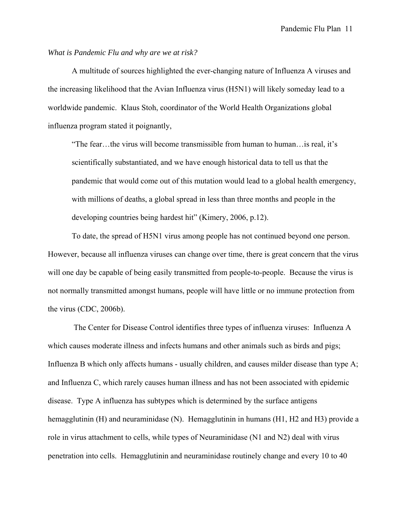### *What is Pandemic Flu and why are we at risk?*

A multitude of sources highlighted the ever-changing nature of Influenza A viruses and the increasing likelihood that the Avian Influenza virus (H5N1) will likely someday lead to a worldwide pandemic. Klaus Stoh, coordinator of the World Health Organizations global influenza program stated it poignantly,

"The fear…the virus will become transmissible from human to human…is real, it's scientifically substantiated, and we have enough historical data to tell us that the pandemic that would come out of this mutation would lead to a global health emergency, with millions of deaths, a global spread in less than three months and people in the developing countries being hardest hit" (Kimery, 2006, p.12).

To date, the spread of H5N1 virus among people has not continued beyond one person. However, because all influenza viruses can change over time, there is great concern that the virus will one day be capable of being easily transmitted from people-to-people. Because the virus is not normally transmitted amongst humans, people will have little or no immune protection from the virus (CDC, 2006b).

 The Center for Disease Control identifies three types of influenza viruses: Influenza A which causes moderate illness and infects humans and other animals such as birds and pigs; Influenza B which only affects humans - usually children, and causes milder disease than type A; and Influenza C, which rarely causes human illness and has not been associated with epidemic disease. Type A influenza has subtypes which is determined by the surface antigens hemagglutinin (H) and neuraminidase (N). Hemagglutinin in humans (H1, H2 and H3) provide a role in virus attachment to cells, while types of Neuraminidase (N1 and N2) deal with virus penetration into cells. Hemagglutinin and neuraminidase routinely change and every 10 to 40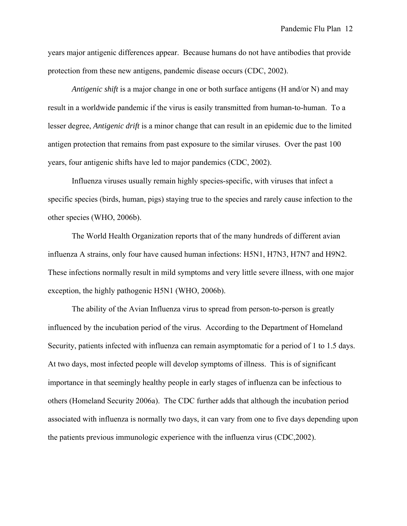years major antigenic differences appear. Because humans do not have antibodies that provide protection from these new antigens, pandemic disease occurs (CDC, 2002).

*Antigenic shift* is a major change in one or both surface antigens (H and/or N) and may result in a worldwide pandemic if the virus is easily transmitted from human-to-human. To a lesser degree, *Antigenic drift* is a minor change that can result in an epidemic due to the limited antigen protection that remains from past exposure to the similar viruses. Over the past 100 years, four antigenic shifts have led to major pandemics (CDC, 2002).

 Influenza viruses usually remain highly species-specific, with viruses that infect a specific species (birds, human, pigs) staying true to the species and rarely cause infection to the other species (WHO, 2006b).

The World Health Organization reports that of the many hundreds of different avian influenza A strains, only four have caused human infections: H5N1, H7N3, H7N7 and H9N2. These infections normally result in mild symptoms and very little severe illness, with one major exception, the highly pathogenic H5N1 (WHO, 2006b).

The ability of the Avian Influenza virus to spread from person-to-person is greatly influenced by the incubation period of the virus. According to the Department of Homeland Security, patients infected with influenza can remain asymptomatic for a period of 1 to 1.5 days. At two days, most infected people will develop symptoms of illness. This is of significant importance in that seemingly healthy people in early stages of influenza can be infectious to others (Homeland Security 2006a). The CDC further adds that although the incubation period associated with influenza is normally two days, it can vary from one to five days depending upon the patients previous immunologic experience with the influenza virus (CDC,2002).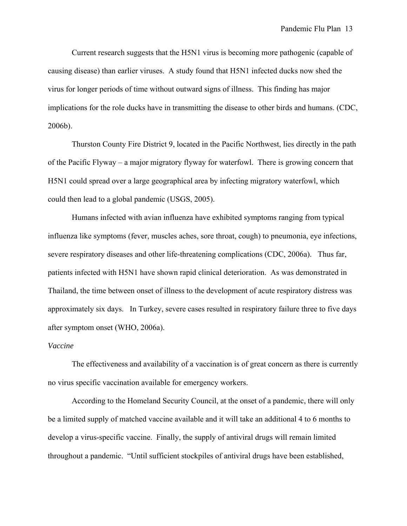Current research suggests that the H5N1 virus is becoming more pathogenic (capable of causing disease) than earlier viruses. A study found that H5N1 infected ducks now shed the virus for longer periods of time without outward signs of illness. This finding has major implications for the role ducks have in transmitting the disease to other birds and humans. (CDC, 2006b).

Thurston County Fire District 9, located in the Pacific Northwest, lies directly in the path of the Pacific Flyway – a major migratory flyway for waterfowl. There is growing concern that H5N1 could spread over a large geographical area by infecting migratory waterfowl, which could then lead to a global pandemic (USGS, 2005).

Humans infected with avian influenza have exhibited symptoms ranging from typical influenza like symptoms (fever, muscles aches, sore throat, cough) to pneumonia, eye infections, severe respiratory diseases and other life-threatening complications (CDC, 2006a). Thus far, patients infected with H5N1 have shown rapid clinical deterioration. As was demonstrated in Thailand, the time between onset of illness to the development of acute respiratory distress was approximately six days. In Turkey, severe cases resulted in respiratory failure three to five days after symptom onset (WHO, 2006a).

#### *Vaccine*

The effectiveness and availability of a vaccination is of great concern as there is currently no virus specific vaccination available for emergency workers.

According to the Homeland Security Council, at the onset of a pandemic, there will only be a limited supply of matched vaccine available and it will take an additional 4 to 6 months to develop a virus-specific vaccine. Finally, the supply of antiviral drugs will remain limited throughout a pandemic. "Until sufficient stockpiles of antiviral drugs have been established,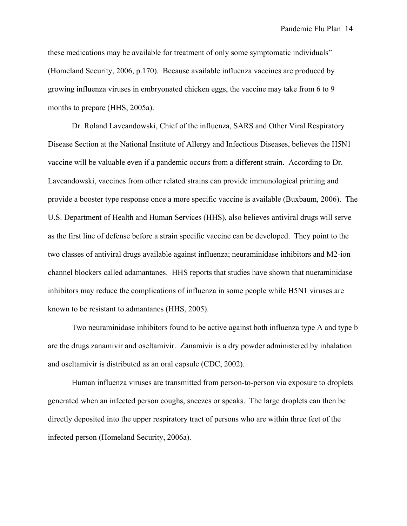these medications may be available for treatment of only some symptomatic individuals" (Homeland Security, 2006, p.170). Because available influenza vaccines are produced by growing influenza viruses in embryonated chicken eggs, the vaccine may take from 6 to 9 months to prepare (HHS, 2005a).

Dr. Roland Laveandowski, Chief of the influenza, SARS and Other Viral Respiratory Disease Section at the National Institute of Allergy and Infectious Diseases, believes the H5N1 vaccine will be valuable even if a pandemic occurs from a different strain. According to Dr. Laveandowski, vaccines from other related strains can provide immunological priming and provide a booster type response once a more specific vaccine is available (Buxbaum, 2006). The U.S. Department of Health and Human Services (HHS), also believes antiviral drugs will serve as the first line of defense before a strain specific vaccine can be developed. They point to the two classes of antiviral drugs available against influenza; neuraminidase inhibitors and M2-ion channel blockers called adamantanes. HHS reports that studies have shown that nueraminidase inhibitors may reduce the complications of influenza in some people while H5N1 viruses are known to be resistant to admantanes (HHS, 2005).

 Two neuraminidase inhibitors found to be active against both influenza type A and type b are the drugs zanamivir and oseltamivir. Zanamivir is a dry powder administered by inhalation and oseltamivir is distributed as an oral capsule (CDC, 2002).

Human influenza viruses are transmitted from person-to-person via exposure to droplets generated when an infected person coughs, sneezes or speaks. The large droplets can then be directly deposited into the upper respiratory tract of persons who are within three feet of the infected person (Homeland Security, 2006a).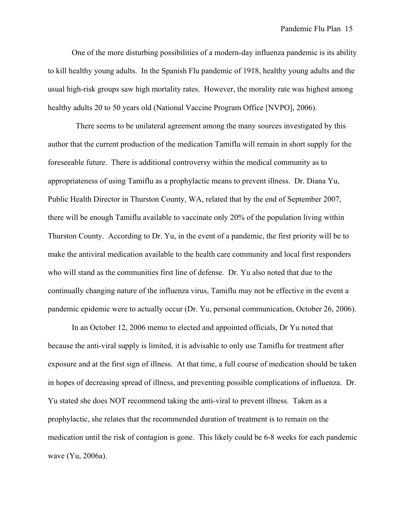One of the more disturbing possibilities of a modern-day influenza pandemic is its ability to kill healthy young adults. In the Spanish Flu pandemic of 1918, healthy young adults and the usual high-risk groups saw high mortality rates. However, the morality rate was highest among healthy adults 20 to 50 years old (National Vaccine Program Office [NVPO], 2006).

 There seems to be unilateral agreement among the many sources investigated by this author that the current production of the medication Tamiflu will remain in short supply for the foreseeable future. There is additional controversy within the medical community as to appropriateness of using Tamiflu as a prophylactic means to prevent illness. Dr. Diana Yu, Public Health Director in Thurston County, WA, related that by the end of September 2007, there will be enough Tamiflu available to vaccinate only 20% of the population living within Thurston County. According to Dr. Yu, in the event of a pandemic, the first priority will be to make the antiviral medication available to the health care community and local first responders who will stand as the communities first line of defense. Dr. Yu also noted that due to the continually changing nature of the influenza virus, Tamiflu may not be effective in the event a pandemic epidemic were to actually occur (Dr. Yu, personal communication, October 26, 2006).

In an October 12, 2006 memo to elected and appointed officials, Dr Yu noted that because the anti-viral supply is limited, it is advisable to only use Tamiflu for treatment after exposure and at the first sign of illness. At that time, a full course of medication should be taken in hopes of decreasing spread of illness, and preventing possible complications of influenza. Dr. Yu stated she does NOT recommend taking the anti-viral to prevent illness. Taken as a prophylactic, she relates that the recommended duration of treatment is to remain on the medication until the risk of contagion is gone. This likely could be 6-8 weeks for each pandemic wave (Yu, 2006a).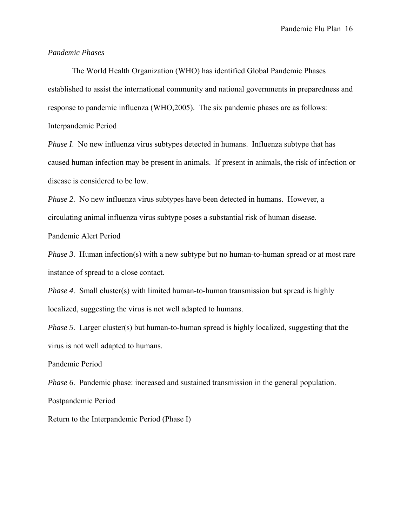#### *Pandemic Phases*

The World Health Organization (WHO) has identified Global Pandemic Phases established to assist the international community and national governments in preparedness and response to pandemic influenza (WHO,2005). The six pandemic phases are as follows: Interpandemic Period

*Phase I.* No new influenza virus subtypes detected in humans. Influenza subtype that has caused human infection may be present in animals. If present in animals, the risk of infection or disease is considered to be low.

*Phase 2*. No new influenza virus subtypes have been detected in humans. However, a circulating animal influenza virus subtype poses a substantial risk of human disease.

Pandemic Alert Period

*Phase 3.* Human infection(s) with a new subtype but no human-to-human spread or at most rare instance of spread to a close contact.

*Phase 4*. Small cluster(s) with limited human-to-human transmission but spread is highly localized, suggesting the virus is not well adapted to humans.

*Phase 5.* Larger cluster(s) but human-to-human spread is highly localized, suggesting that the virus is not well adapted to humans.

Pandemic Period

*Phase 6.* Pandemic phase: increased and sustained transmission in the general population.

Postpandemic Period

Return to the Interpandemic Period (Phase I)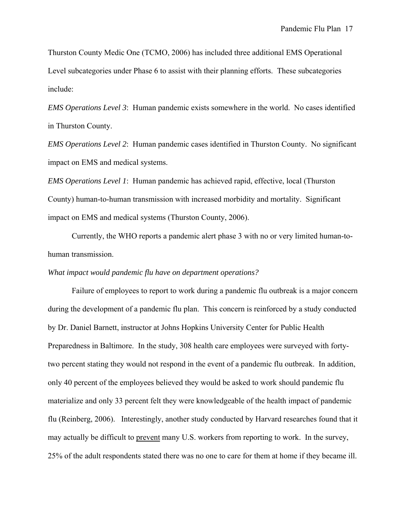Thurston County Medic One (TCMO, 2006) has included three additional EMS Operational Level subcategories under Phase 6 to assist with their planning efforts. These subcategories include:

*EMS Operations Level 3*: Human pandemic exists somewhere in the world. No cases identified in Thurston County.

*EMS Operations Level 2*: Human pandemic cases identified in Thurston County. No significant impact on EMS and medical systems.

*EMS Operations Level 1*: Human pandemic has achieved rapid, effective, local (Thurston County) human-to-human transmission with increased morbidity and mortality. Significant impact on EMS and medical systems (Thurston County, 2006).

Currently, the WHO reports a pandemic alert phase 3 with no or very limited human-tohuman transmission.

#### *What impact would pandemic flu have on department operations?*

Failure of employees to report to work during a pandemic flu outbreak is a major concern during the development of a pandemic flu plan. This concern is reinforced by a study conducted by Dr. Daniel Barnett, instructor at Johns Hopkins University Center for Public Health Preparedness in Baltimore. In the study, 308 health care employees were surveyed with fortytwo percent stating they would not respond in the event of a pandemic flu outbreak. In addition, only 40 percent of the employees believed they would be asked to work should pandemic flu materialize and only 33 percent felt they were knowledgeable of the health impact of pandemic flu (Reinberg, 2006). Interestingly, another study conducted by Harvard researches found that it may actually be difficult to prevent many U.S. workers from reporting to work. In the survey, 25% of the adult respondents stated there was no one to care for them at home if they became ill.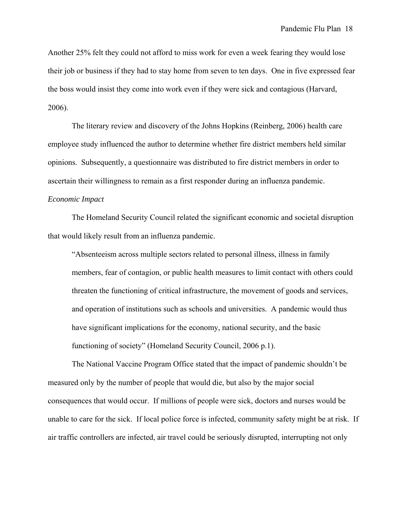Another 25% felt they could not afford to miss work for even a week fearing they would lose their job or business if they had to stay home from seven to ten days. One in five expressed fear the boss would insist they come into work even if they were sick and contagious (Harvard, 2006).

The literary review and discovery of the Johns Hopkins (Reinberg, 2006) health care employee study influenced the author to determine whether fire district members held similar opinions. Subsequently, a questionnaire was distributed to fire district members in order to ascertain their willingness to remain as a first responder during an influenza pandemic.

### *Economic Impact*

 The Homeland Security Council related the significant economic and societal disruption that would likely result from an influenza pandemic.

"Absenteeism across multiple sectors related to personal illness, illness in family members, fear of contagion, or public health measures to limit contact with others could threaten the functioning of critical infrastructure, the movement of goods and services, and operation of institutions such as schools and universities. A pandemic would thus have significant implications for the economy, national security, and the basic functioning of society" (Homeland Security Council, 2006 p.1).

The National Vaccine Program Office stated that the impact of pandemic shouldn't be measured only by the number of people that would die, but also by the major social consequences that would occur. If millions of people were sick, doctors and nurses would be unable to care for the sick. If local police force is infected, community safety might be at risk. If air traffic controllers are infected, air travel could be seriously disrupted, interrupting not only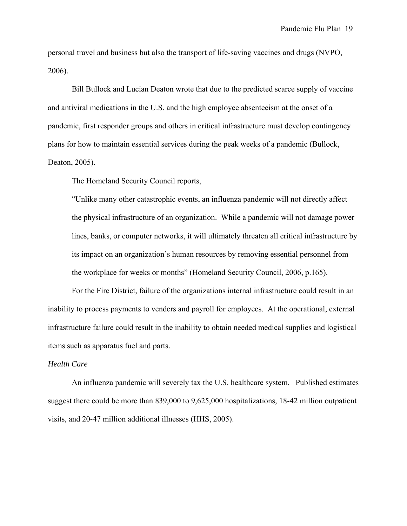personal travel and business but also the transport of life-saving vaccines and drugs (NVPO, 2006).

Bill Bullock and Lucian Deaton wrote that due to the predicted scarce supply of vaccine and antiviral medications in the U.S. and the high employee absenteeism at the onset of a pandemic, first responder groups and others in critical infrastructure must develop contingency plans for how to maintain essential services during the peak weeks of a pandemic (Bullock, Deaton, 2005).

The Homeland Security Council reports,

"Unlike many other catastrophic events, an influenza pandemic will not directly affect the physical infrastructure of an organization. While a pandemic will not damage power lines, banks, or computer networks, it will ultimately threaten all critical infrastructure by its impact on an organization's human resources by removing essential personnel from the workplace for weeks or months" (Homeland Security Council, 2006, p.165).

For the Fire District, failure of the organizations internal infrastructure could result in an inability to process payments to venders and payroll for employees. At the operational, external infrastructure failure could result in the inability to obtain needed medical supplies and logistical items such as apparatus fuel and parts.

#### *Health Care*

An influenza pandemic will severely tax the U.S. healthcare system. Published estimates suggest there could be more than 839,000 to 9,625,000 hospitalizations, 18-42 million outpatient visits, and 20-47 million additional illnesses (HHS, 2005).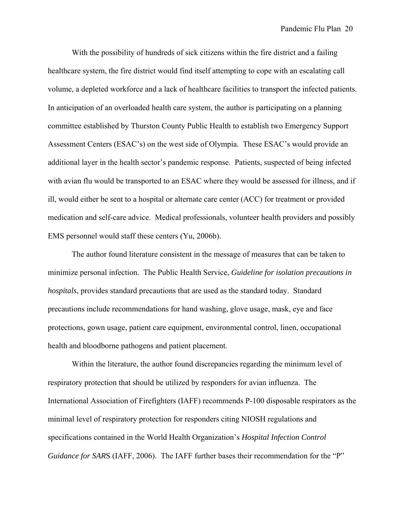With the possibility of hundreds of sick citizens within the fire district and a failing healthcare system, the fire district would find itself attempting to cope with an escalating call volume, a depleted workforce and a lack of healthcare facilities to transport the infected patients. In anticipation of an overloaded health care system, the author is participating on a planning committee established by Thurston County Public Health to establish two Emergency Support Assessment Centers (ESAC's) on the west side of Olympia. These ESAC's would provide an additional layer in the health sector's pandemic response. Patients, suspected of being infected with avian flu would be transported to an ESAC where they would be assessed for illness, and if ill, would either be sent to a hospital or alternate care center (ACC) for treatment or provided medication and self-care advice. Medical professionals, volunteer health providers and possibly EMS personnel would staff these centers (Yu, 2006b).

The author found literature consistent in the message of measures that can be taken to minimize personal infection. The Public Health Service, *Guideline for isolation precautions in hospitals*, provides standard precautions that are used as the standard today. Standard precautions include recommendations for hand washing, glove usage, mask, eye and face protections, gown usage, patient care equipment, environmental control, linen, occupational health and bloodborne pathogens and patient placement.

Within the literature, the author found discrepancies regarding the minimum level of respiratory protection that should be utilized by responders for avian influenza. The International Association of Firefighters (IAFF) recommends P-100 disposable respirators as the minimal level of respiratory protection for responders citing NIOSH regulations and specifications contained in the World Health Organization's *Hospital Infection Control Guidance for SARS* (IAFF, 2006). The IAFF further bases their recommendation for the "P"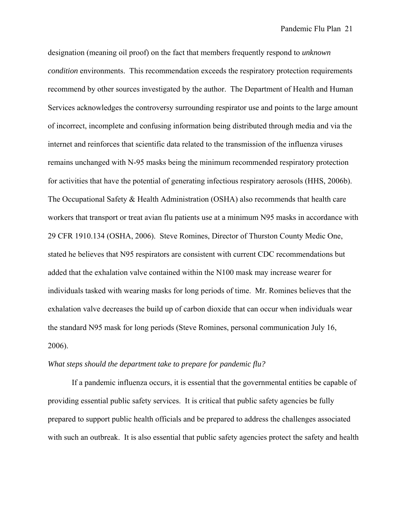designation (meaning oil proof) on the fact that members frequently respond to *unknown condition* environments. This recommendation exceeds the respiratory protection requirements recommend by other sources investigated by the author. The Department of Health and Human Services acknowledges the controversy surrounding respirator use and points to the large amount of incorrect, incomplete and confusing information being distributed through media and via the internet and reinforces that scientific data related to the transmission of the influenza viruses remains unchanged with N-95 masks being the minimum recommended respiratory protection for activities that have the potential of generating infectious respiratory aerosols (HHS, 2006b). The Occupational Safety & Health Administration (OSHA) also recommends that health care workers that transport or treat avian flu patients use at a minimum N95 masks in accordance with 29 CFR 1910.134 (OSHA, 2006). Steve Romines, Director of Thurston County Medic One, stated he believes that N95 respirators are consistent with current CDC recommendations but added that the exhalation valve contained within the N100 mask may increase wearer for individuals tasked with wearing masks for long periods of time. Mr. Romines believes that the exhalation valve decreases the build up of carbon dioxide that can occur when individuals wear the standard N95 mask for long periods (Steve Romines, personal communication July 16, 2006).

#### *What steps should the department take to prepare for pandemic flu?*

 If a pandemic influenza occurs, it is essential that the governmental entities be capable of providing essential public safety services. It is critical that public safety agencies be fully prepared to support public health officials and be prepared to address the challenges associated with such an outbreak. It is also essential that public safety agencies protect the safety and health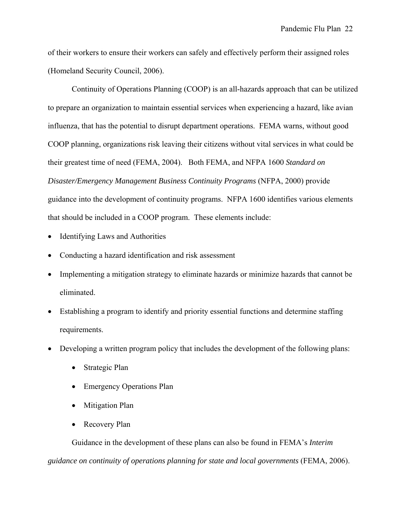of their workers to ensure their workers can safely and effectively perform their assigned roles (Homeland Security Council, 2006).

Continuity of Operations Planning (COOP) is an all-hazards approach that can be utilized to prepare an organization to maintain essential services when experiencing a hazard, like avian influenza, that has the potential to disrupt department operations. FEMA warns, without good COOP planning, organizations risk leaving their citizens without vital services in what could be their greatest time of need (FEMA, 2004). Both FEMA, and NFPA 1600 *Standard on Disaster/Emergency Management Business Continuity Programs* (NFPA, 2000) provide guidance into the development of continuity programs. NFPA 1600 identifies various elements that should be included in a COOP program. These elements include:

- Identifying Laws and Authorities
- Conducting a hazard identification and risk assessment
- Implementing a mitigation strategy to eliminate hazards or minimize hazards that cannot be eliminated.
- Establishing a program to identify and priority essential functions and determine staffing requirements.
- Developing a written program policy that includes the development of the following plans:
	- Strategic Plan
	- Emergency Operations Plan
	- Mitigation Plan
	- Recovery Plan

Guidance in the development of these plans can also be found in FEMA's *Interim guidance on continuity of operations planning for state and local governments* (FEMA, 2006).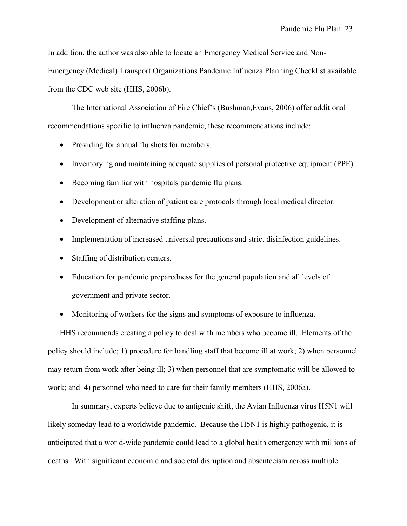In addition, the author was also able to locate an Emergency Medical Service and Non-

Emergency (Medical) Transport Organizations Pandemic Influenza Planning Checklist available from the CDC web site (HHS, 2006b).

The International Association of Fire Chief's (Bushman,Evans, 2006) offer additional recommendations specific to influenza pandemic, these recommendations include:

- Providing for annual flu shots for members.
- Inventorying and maintaining adequate supplies of personal protective equipment (PPE).
- Becoming familiar with hospitals pandemic flu plans.
- Development or alteration of patient care protocols through local medical director.
- Development of alternative staffing plans.
- Implementation of increased universal precautions and strict disinfection guidelines.
- Staffing of distribution centers.
- Education for pandemic preparedness for the general population and all levels of government and private sector.
- Monitoring of workers for the signs and symptoms of exposure to influenza.

HHS recommends creating a policy to deal with members who become ill. Elements of the policy should include; 1) procedure for handling staff that become ill at work; 2) when personnel may return from work after being ill; 3) when personnel that are symptomatic will be allowed to work; and 4) personnel who need to care for their family members (HHS, 2006a).

 In summary, experts believe due to antigenic shift, the Avian Influenza virus H5N1 will likely someday lead to a worldwide pandemic. Because the H5N1 is highly pathogenic, it is anticipated that a world-wide pandemic could lead to a global health emergency with millions of deaths. With significant economic and societal disruption and absenteeism across multiple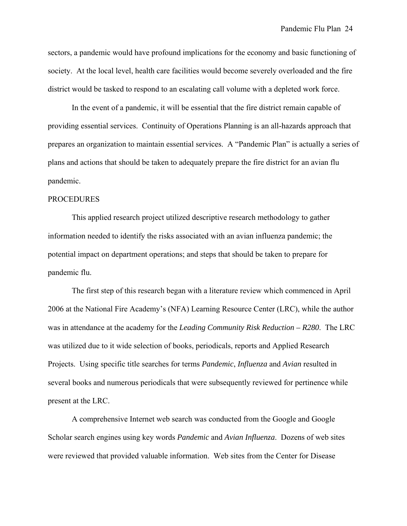sectors, a pandemic would have profound implications for the economy and basic functioning of society. At the local level, health care facilities would become severely overloaded and the fire district would be tasked to respond to an escalating call volume with a depleted work force.

 In the event of a pandemic, it will be essential that the fire district remain capable of providing essential services. Continuity of Operations Planning is an all-hazards approach that prepares an organization to maintain essential services. A "Pandemic Plan" is actually a series of plans and actions that should be taken to adequately prepare the fire district for an avian flu pandemic.

#### PROCEDURES

 This applied research project utilized descriptive research methodology to gather information needed to identify the risks associated with an avian influenza pandemic; the potential impact on department operations; and steps that should be taken to prepare for pandemic flu.

 The first step of this research began with a literature review which commenced in April 2006 at the National Fire Academy's (NFA) Learning Resource Center (LRC), while the author was in attendance at the academy for the *Leading Community Risk Reduction – R280*. The LRC was utilized due to it wide selection of books, periodicals, reports and Applied Research Projects. Using specific title searches for terms *Pandemic*, *Influenza* and *Avian* resulted in several books and numerous periodicals that were subsequently reviewed for pertinence while present at the LRC.

 A comprehensive Internet web search was conducted from the Google and Google Scholar search engines using key words *Pandemic* and *Avian Influenza*. Dozens of web sites were reviewed that provided valuable information. Web sites from the Center for Disease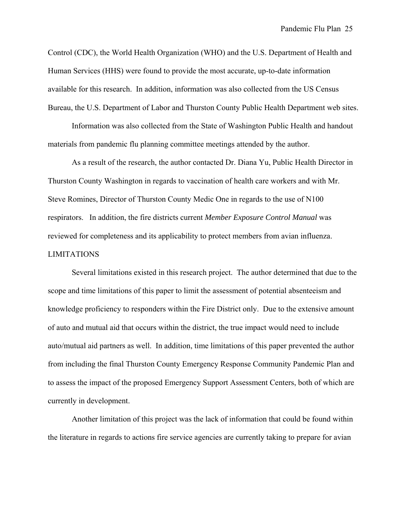Control (CDC), the World Health Organization (WHO) and the U.S. Department of Health and Human Services (HHS) were found to provide the most accurate, up-to-date information available for this research. In addition, information was also collected from the US Census Bureau, the U.S. Department of Labor and Thurston County Public Health Department web sites.

 Information was also collected from the State of Washington Public Health and handout materials from pandemic flu planning committee meetings attended by the author.

 As a result of the research, the author contacted Dr. Diana Yu, Public Health Director in Thurston County Washington in regards to vaccination of health care workers and with Mr. Steve Romines, Director of Thurston County Medic One in regards to the use of N100 respirators. In addition, the fire districts current *Member Exposure Control Manual* was reviewed for completeness and its applicability to protect members from avian influenza. LIMITATIONS

 Several limitations existed in this research project. The author determined that due to the scope and time limitations of this paper to limit the assessment of potential absenteeism and knowledge proficiency to responders within the Fire District only. Due to the extensive amount of auto and mutual aid that occurs within the district, the true impact would need to include auto/mutual aid partners as well. In addition, time limitations of this paper prevented the author from including the final Thurston County Emergency Response Community Pandemic Plan and to assess the impact of the proposed Emergency Support Assessment Centers, both of which are currently in development.

 Another limitation of this project was the lack of information that could be found within the literature in regards to actions fire service agencies are currently taking to prepare for avian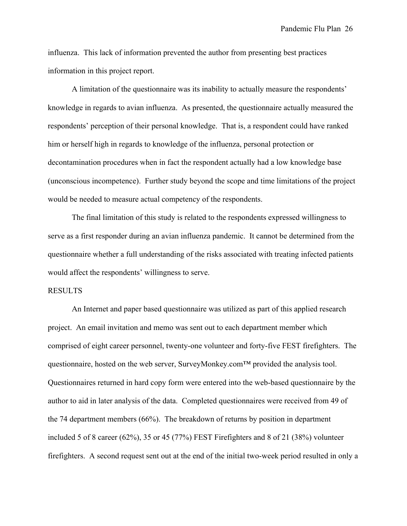influenza. This lack of information prevented the author from presenting best practices information in this project report.

A limitation of the questionnaire was its inability to actually measure the respondents' knowledge in regards to avian influenza. As presented, the questionnaire actually measured the respondents' perception of their personal knowledge. That is, a respondent could have ranked him or herself high in regards to knowledge of the influenza, personal protection or decontamination procedures when in fact the respondent actually had a low knowledge base (unconscious incompetence). Further study beyond the scope and time limitations of the project would be needed to measure actual competency of the respondents.

The final limitation of this study is related to the respondents expressed willingness to serve as a first responder during an avian influenza pandemic. It cannot be determined from the questionnaire whether a full understanding of the risks associated with treating infected patients would affect the respondents' willingness to serve.

#### RESULTS

An Internet and paper based questionnaire was utilized as part of this applied research project. An email invitation and memo was sent out to each department member which comprised of eight career personnel, twenty-one volunteer and forty-five FEST firefighters. The questionnaire, hosted on the web server, SurveyMonkey.com™ provided the analysis tool. Questionnaires returned in hard copy form were entered into the web-based questionnaire by the author to aid in later analysis of the data. Completed questionnaires were received from 49 of the 74 department members (66%). The breakdown of returns by position in department included 5 of 8 career (62%), 35 or 45 (77%) FEST Firefighters and 8 of 21 (38%) volunteer firefighters. A second request sent out at the end of the initial two-week period resulted in only a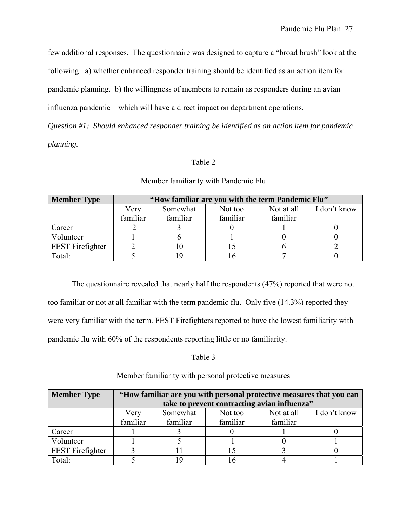few additional responses. The questionnaire was designed to capture a "broad brush" look at the

following: a) whether enhanced responder training should be identified as an action item for

pandemic planning. b) the willingness of members to remain as responders during an avian

influenza pandemic – which will have a direct impact on department operations.

*Question #1: Should enhanced responder training be identified as an action item for pandemic planning.* 

## Table 2

| <b>Member Type</b>      | "How familiar are you with the term Pandemic Flu" |          |          |            |              |  |
|-------------------------|---------------------------------------------------|----------|----------|------------|--------------|--|
|                         | Very                                              | Somewhat | Not too  | Not at all | I don't know |  |
|                         | familiar                                          | familiar | familiar | familiar   |              |  |
| Career                  |                                                   |          |          |            |              |  |
| Volunteer               |                                                   |          |          |            |              |  |
| <b>FEST</b> Firefighter |                                                   |          |          |            |              |  |
| Total:                  |                                                   |          |          |            |              |  |

## Member familiarity with Pandemic Flu

The questionnaire revealed that nearly half the respondents (47%) reported that were not too familiar or not at all familiar with the term pandemic flu. Only five (14.3%) reported they were very familiar with the term. FEST Firefighters reported to have the lowest familiarity with pandemic flu with 60% of the respondents reporting little or no familiarity.

## Table 3

#### **Member Type "How familiar are you with personal protective measures that you can take to prevent contracting avian influenza"**  Very familiar Somewhat familiar Not too familiar Not at all familiar I don't know Career 1 1 3 0 1 0 Volunteer 1 1 5 1 0 1 FEST Firefighter 3 11 15 3 0 Total: 5 19 16 4 1

## Member familiarity with personal protective measures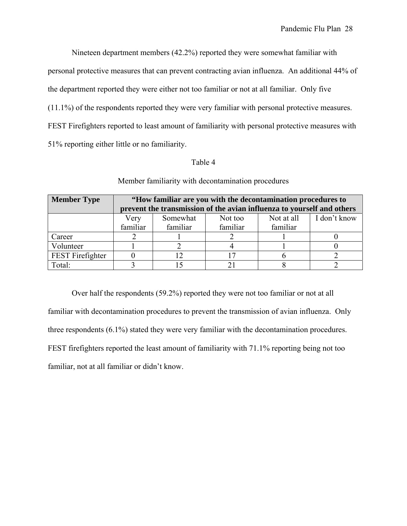Nineteen department members (42.2%) reported they were somewhat familiar with

personal protective measures that can prevent contracting avian influenza. An additional 44% of

the department reported they were either not too familiar or not at all familiar. Only five

(11.1%) of the respondents reported they were very familiar with personal protective measures.

FEST Firefighters reported to least amount of familiarity with personal protective measures with

51% reporting either little or no familiarity.

## Table 4

| <b>Member Type</b> | "How familiar are you with the decontamination procedures to |                                                                        |              |          |  |  |  |  |
|--------------------|--------------------------------------------------------------|------------------------------------------------------------------------|--------------|----------|--|--|--|--|
|                    |                                                              | prevent the transmission of the avian influenza to yourself and others |              |          |  |  |  |  |
|                    | Very                                                         | Not at all                                                             | I don't know |          |  |  |  |  |
|                    | familiar                                                     | familiar                                                               | familiar     | familiar |  |  |  |  |
| Career             |                                                              |                                                                        |              |          |  |  |  |  |
| Volunteer          |                                                              |                                                                        |              |          |  |  |  |  |
| FEST Firefighter   |                                                              |                                                                        |              |          |  |  |  |  |
| Total:             |                                                              |                                                                        |              |          |  |  |  |  |

Member familiarity with decontamination procedures

Over half the respondents (59.2%) reported they were not too familiar or not at all familiar with decontamination procedures to prevent the transmission of avian influenza. Only three respondents (6.1%) stated they were very familiar with the decontamination procedures. FEST firefighters reported the least amount of familiarity with 71.1% reporting being not too familiar, not at all familiar or didn't know.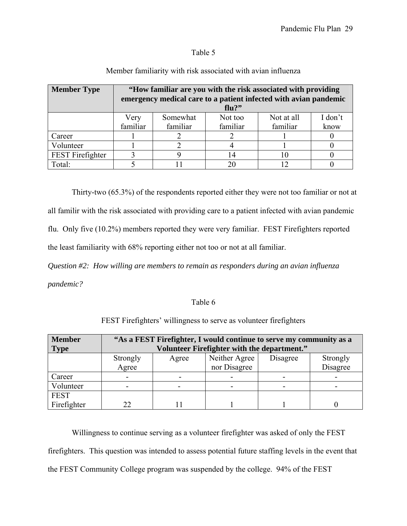## Table 5

| <b>Member Type</b>                                                                                           | "How familiar are you with the risk associated with providing             |  |    |    |  |
|--------------------------------------------------------------------------------------------------------------|---------------------------------------------------------------------------|--|----|----|--|
|                                                                                                              | emergency medical care to a patient infected with avian pandemic<br>flu?" |  |    |    |  |
| I don't<br>Somewhat<br>Not too<br>Not at all<br>Very<br>familiar<br>familiar<br>familiar<br>familiar<br>know |                                                                           |  |    |    |  |
| Career                                                                                                       |                                                                           |  |    |    |  |
| Volunteer                                                                                                    |                                                                           |  |    |    |  |
| FEST Firefighter                                                                                             |                                                                           |  | 14 | 10 |  |
| Total:                                                                                                       |                                                                           |  | 20 |    |  |

## Member familiarity with risk associated with avian influenza

Thirty-two (65.3%) of the respondents reported either they were not too familiar or not at all familir with the risk associated with providing care to a patient infected with avian pandemic flu. Only five (10.2%) members reported they were very familiar. FEST Firefighters reported the least familiarity with 68% reporting either not too or not at all familiar.

*Question #2: How willing are members to remain as responders during an avian influenza pandemic?* 

## Table 6

| <b>Member</b> | "As a FEST Firefighter, I would continue to serve my community as a |       |               |          |          |  |
|---------------|---------------------------------------------------------------------|-------|---------------|----------|----------|--|
| <b>Type</b>   | Volunteer Firefighter with the department."                         |       |               |          |          |  |
|               | Strongly                                                            | Agree | Neither Agree | Disagree | Strongly |  |
|               | Agree                                                               |       | nor Disagree  |          | Disagree |  |
| Career        |                                                                     |       |               |          |          |  |
| Volunteer     |                                                                     |       |               |          |          |  |
| <b>FEST</b>   |                                                                     |       |               |          |          |  |
| Firefighter   | つつ                                                                  |       |               |          |          |  |

FEST Firefighters' willingness to serve as volunteer firefighters

Willingness to continue serving as a volunteer firefighter was asked of only the FEST firefighters. This question was intended to assess potential future staffing levels in the event that the FEST Community College program was suspended by the college. 94% of the FEST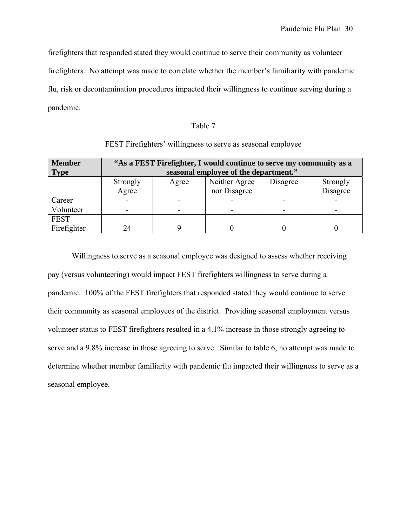firefighters that responded stated they would continue to serve their community as volunteer

firefighters. No attempt was made to correlate whether the member's familiarity with pandemic

flu, risk or decontamination procedures impacted their willingness to continue serving during a pandemic.

### Table 7

| <b>Member</b><br><b>Type</b> | "As a FEST Firefighter, I would continue to serve my community as a<br>seasonal employee of the department." |       |               |          |          |  |  |
|------------------------------|--------------------------------------------------------------------------------------------------------------|-------|---------------|----------|----------|--|--|
|                              | Strongly                                                                                                     | Agree | Neither Agree | Disagree | Strongly |  |  |
|                              | Agree                                                                                                        |       | nor Disagree  |          | Disagree |  |  |
| Career                       |                                                                                                              |       |               |          |          |  |  |
| Volunteer                    |                                                                                                              |       |               |          |          |  |  |
| <b>FEST</b>                  |                                                                                                              |       |               |          |          |  |  |
| Firefighter                  | 24                                                                                                           |       |               |          |          |  |  |

## FEST Firefighters' willingness to serve as seasonal employee

Willingness to serve as a seasonal employee was designed to assess whether receiving pay (versus volunteering) would impact FEST firefighters willingness to serve during a pandemic. 100% of the FEST firefighters that responded stated they would continue to serve their community as seasonal employees of the district. Providing seasonal employment versus volunteer status to FEST firefighters resulted in a 4.1% increase in those strongly agreeing to serve and a 9.8% increase in those agreeing to serve. Similar to table 6, no attempt was made to determine whether member familiarity with pandemic flu impacted their willingness to serve as a seasonal employee.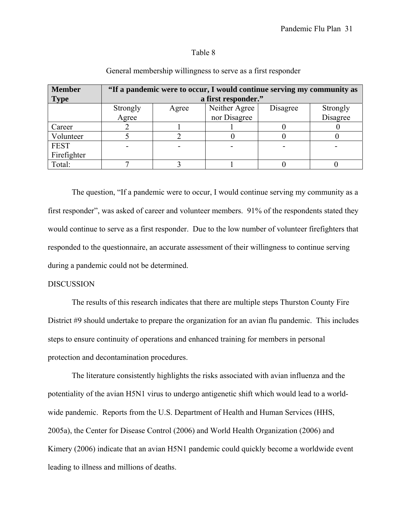#### Table 8

| <b>Member</b> | "If a pandemic were to occur, I would continue serving my community as |                                                |              |  |          |  |  |
|---------------|------------------------------------------------------------------------|------------------------------------------------|--------------|--|----------|--|--|
| <b>Type</b>   | a first responder."                                                    |                                                |              |  |          |  |  |
|               | Strongly                                                               | Neither Agree<br>Disagree<br>Strongly<br>Agree |              |  |          |  |  |
|               | Agree                                                                  |                                                | nor Disagree |  | Disagree |  |  |
| Career        |                                                                        |                                                |              |  |          |  |  |
| Volunteer     |                                                                        |                                                |              |  |          |  |  |
| <b>FEST</b>   |                                                                        |                                                |              |  |          |  |  |
| Firefighter   |                                                                        |                                                |              |  |          |  |  |
| Total:        |                                                                        |                                                |              |  |          |  |  |

## General membership willingness to serve as a first responder

The question, "If a pandemic were to occur, I would continue serving my community as a first responder", was asked of career and volunteer members. 91% of the respondents stated they would continue to serve as a first responder. Due to the low number of volunteer firefighters that responded to the questionnaire, an accurate assessment of their willingness to continue serving during a pandemic could not be determined.

#### DISCUSSION

 The results of this research indicates that there are multiple steps Thurston County Fire District #9 should undertake to prepare the organization for an avian flu pandemic. This includes steps to ensure continuity of operations and enhanced training for members in personal protection and decontamination procedures.

 The literature consistently highlights the risks associated with avian influenza and the potentiality of the avian H5N1 virus to undergo antigenetic shift which would lead to a worldwide pandemic. Reports from the U.S. Department of Health and Human Services (HHS, 2005a), the Center for Disease Control (2006) and World Health Organization (2006) and Kimery (2006) indicate that an avian H5N1 pandemic could quickly become a worldwide event leading to illness and millions of deaths.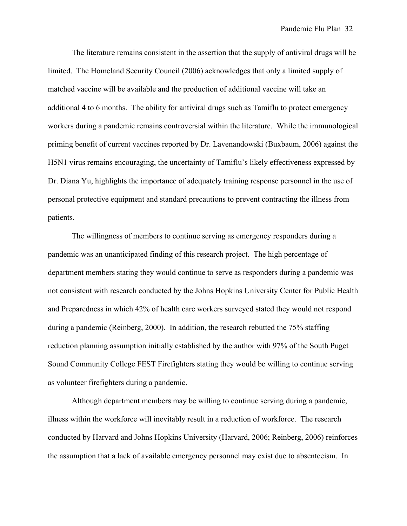The literature remains consistent in the assertion that the supply of antiviral drugs will be limited. The Homeland Security Council (2006) acknowledges that only a limited supply of matched vaccine will be available and the production of additional vaccine will take an additional 4 to 6 months. The ability for antiviral drugs such as Tamiflu to protect emergency workers during a pandemic remains controversial within the literature. While the immunological priming benefit of current vaccines reported by Dr. Lavenandowski (Buxbaum, 2006) against the H5N1 virus remains encouraging, the uncertainty of Tamiflu's likely effectiveness expressed by Dr. Diana Yu, highlights the importance of adequately training response personnel in the use of personal protective equipment and standard precautions to prevent contracting the illness from patients.

The willingness of members to continue serving as emergency responders during a pandemic was an unanticipated finding of this research project. The high percentage of department members stating they would continue to serve as responders during a pandemic was not consistent with research conducted by the Johns Hopkins University Center for Public Health and Preparedness in which 42% of health care workers surveyed stated they would not respond during a pandemic (Reinberg, 2000). In addition, the research rebutted the 75% staffing reduction planning assumption initially established by the author with 97% of the South Puget Sound Community College FEST Firefighters stating they would be willing to continue serving as volunteer firefighters during a pandemic.

Although department members may be willing to continue serving during a pandemic, illness within the workforce will inevitably result in a reduction of workforce. The research conducted by Harvard and Johns Hopkins University (Harvard, 2006; Reinberg, 2006) reinforces the assumption that a lack of available emergency personnel may exist due to absenteeism. In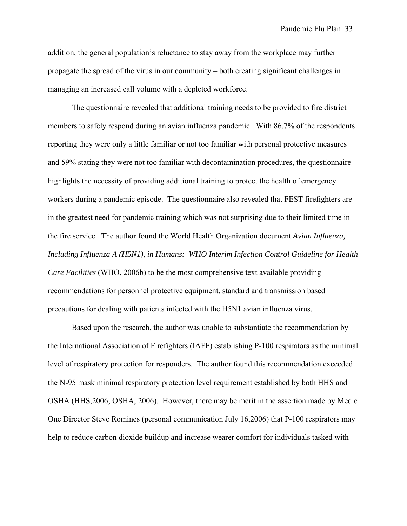addition, the general population's reluctance to stay away from the workplace may further propagate the spread of the virus in our community – both creating significant challenges in managing an increased call volume with a depleted workforce.

The questionnaire revealed that additional training needs to be provided to fire district members to safely respond during an avian influenza pandemic. With 86.7% of the respondents reporting they were only a little familiar or not too familiar with personal protective measures and 59% stating they were not too familiar with decontamination procedures, the questionnaire highlights the necessity of providing additional training to protect the health of emergency workers during a pandemic episode. The questionnaire also revealed that FEST firefighters are in the greatest need for pandemic training which was not surprising due to their limited time in the fire service. The author found the World Health Organization document *Avian Influenza, Including Influenza A (H5N1), in Humans: WHO Interim Infection Control Guideline for Health Care Facilities* (WHO, 2006b) to be the most comprehensive text available providing recommendations for personnel protective equipment, standard and transmission based precautions for dealing with patients infected with the H5N1 avian influenza virus.

 Based upon the research, the author was unable to substantiate the recommendation by the International Association of Firefighters (IAFF) establishing P-100 respirators as the minimal level of respiratory protection for responders. The author found this recommendation exceeded the N-95 mask minimal respiratory protection level requirement established by both HHS and OSHA (HHS,2006; OSHA, 2006). However, there may be merit in the assertion made by Medic One Director Steve Romines (personal communication July 16,2006) that P-100 respirators may help to reduce carbon dioxide buildup and increase wearer comfort for individuals tasked with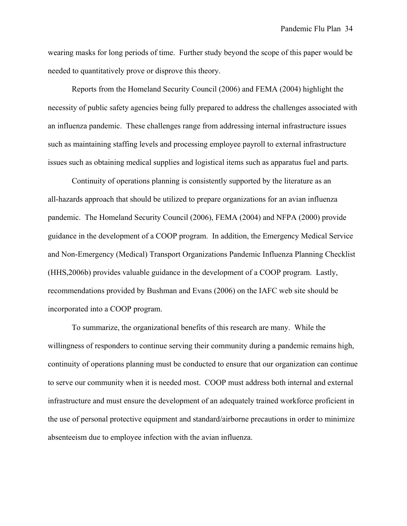wearing masks for long periods of time. Further study beyond the scope of this paper would be needed to quantitatively prove or disprove this theory.

 Reports from the Homeland Security Council (2006) and FEMA (2004) highlight the necessity of public safety agencies being fully prepared to address the challenges associated with an influenza pandemic. These challenges range from addressing internal infrastructure issues such as maintaining staffing levels and processing employee payroll to external infrastructure issues such as obtaining medical supplies and logistical items such as apparatus fuel and parts.

 Continuity of operations planning is consistently supported by the literature as an all-hazards approach that should be utilized to prepare organizations for an avian influenza pandemic. The Homeland Security Council (2006), FEMA (2004) and NFPA (2000) provide guidance in the development of a COOP program. In addition, the Emergency Medical Service and Non-Emergency (Medical) Transport Organizations Pandemic Influenza Planning Checklist (HHS,2006b) provides valuable guidance in the development of a COOP program. Lastly, recommendations provided by Bushman and Evans (2006) on the IAFC web site should be incorporated into a COOP program.

 To summarize, the organizational benefits of this research are many. While the willingness of responders to continue serving their community during a pandemic remains high, continuity of operations planning must be conducted to ensure that our organization can continue to serve our community when it is needed most. COOP must address both internal and external infrastructure and must ensure the development of an adequately trained workforce proficient in the use of personal protective equipment and standard/airborne precautions in order to minimize absenteeism due to employee infection with the avian influenza.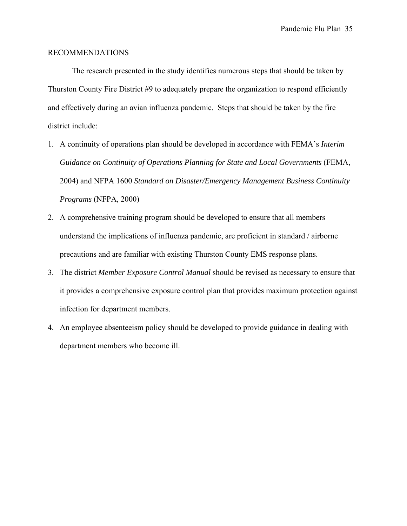### RECOMMENDATIONS

 The research presented in the study identifies numerous steps that should be taken by Thurston County Fire District #9 to adequately prepare the organization to respond efficiently and effectively during an avian influenza pandemic. Steps that should be taken by the fire district include:

- 1. A continuity of operations plan should be developed in accordance with FEMA's *Interim Guidance on Continuity of Operations Planning for State and Local Governments* (FEMA, 2004) and NFPA 1600 *Standard on Disaster/Emergency Management Business Continuity Programs* (NFPA, 2000)
- 2. A comprehensive training program should be developed to ensure that all members understand the implications of influenza pandemic, are proficient in standard / airborne precautions and are familiar with existing Thurston County EMS response plans.
- 3. The district *Member Exposure Control Manual* should be revised as necessary to ensure that it provides a comprehensive exposure control plan that provides maximum protection against infection for department members.
- 4. An employee absenteeism policy should be developed to provide guidance in dealing with department members who become ill.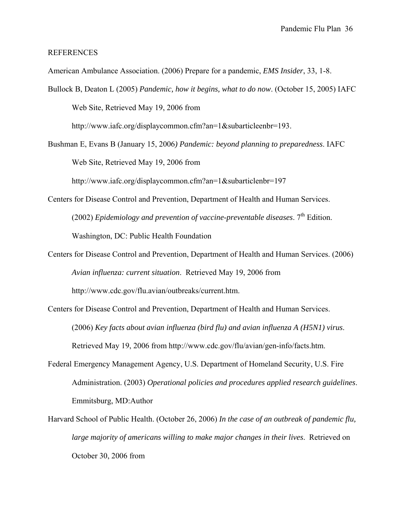#### REFERENCES

American Ambulance Association. (2006) Prepare for a pandemic, *EMS Insider*, 33, 1-8.

- Bullock B, Deaton L (2005) *Pandemic, how it begins, what to do now*. (October 15, 2005) IAFC Web Site, Retrieved May 19, 2006 from http://www.iafc.org/displaycommon.cfm?an=1&subarticleenbr=193.
- Bushman E, Evans B (January 15, 2006*) Pandemic: beyond planning to preparedness*. IAFC Web Site, Retrieved May 19, 2006 from http://www.iafc.org/displaycommon.cfm?an=1&subarticlenbr=197
- Centers for Disease Control and Prevention, Department of Health and Human Services. (2002) *Epidemiology and prevention of vaccine-preventable diseases.*  $7<sup>th</sup>$  Edition. Washington, DC: Public Health Foundation
- Centers for Disease Control and Prevention, Department of Health and Human Services. (2006) *Avian influenza: current situation*. Retrieved May 19, 2006 from http://www.cdc.gov/flu.avian/outbreaks/current.htm.
- Centers for Disease Control and Prevention, Department of Health and Human Services. (2006) *Key facts about avian influenza (bird flu) and avian influenza A (H5N1) virus*. Retrieved May 19, 2006 from http://www.cdc.gov/flu/avian/gen-info/facts.htm.
- Federal Emergency Management Agency, U.S. Department of Homeland Security, U.S. Fire Administration. (2003) *Operational policies and procedures applied research guidelines*. Emmitsburg, MD:Author
- Harvard School of Public Health. (October 26, 2006) *In the case of an outbreak of pandemic flu, large majority of americans willing to make major changes in their lives*. Retrieved on October 30, 2006 from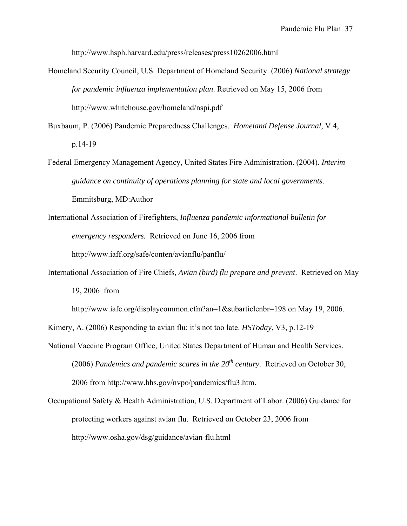http://www.hsph.harvard.edu/press/releases/press10262006.html

- Homeland Security Council, U.S. Department of Homeland Security. (2006) *National strategy for pandemic influenza implementation plan*. Retrieved on May 15, 2006 from http://www.whitehouse.gov/homeland/nspi.pdf
- Buxbaum, P. (2006) Pandemic Preparedness Challenges. *Homeland Defense Journal*, V.4, p.14-19
- Federal Emergency Management Agency, United States Fire Administration. (2004). *Interim guidance on continuity of operations planning for state and local governments*. Emmitsburg, MD:Author
- International Association of Firefighters, *Influenza pandemic informational bulletin for emergency responders.* Retrieved on June 16, 2006 from http://www.iaff.org/safe/conten/avianflu/panflu/
- International Association of Fire Chiefs, *Avian (bird) flu prepare and prevent*. Retrieved on May 19, 2006 from
	- http://www.iafc.org/displaycommon.cfm?an=1&subarticlenbr=198 on May 19, 2006.
- Kimery, A. (2006) Responding to avian flu: it's not too late. *HSToday*, V3, p.12-19
- National Vaccine Program Office, United States Department of Human and Health Services. (2006) *Pandemics and pandemic scares in the*  $20<sup>th</sup>$  *century*. Retrieved on October 30, 2006 from http://www.hhs.gov/nvpo/pandemics/flu3.htm.
- Occupational Safety & Health Administration, U.S. Department of Labor. (2006) Guidance for protecting workers against avian flu. Retrieved on October 23, 2006 from http://www.osha.gov/dsg/guidance/avian-flu.html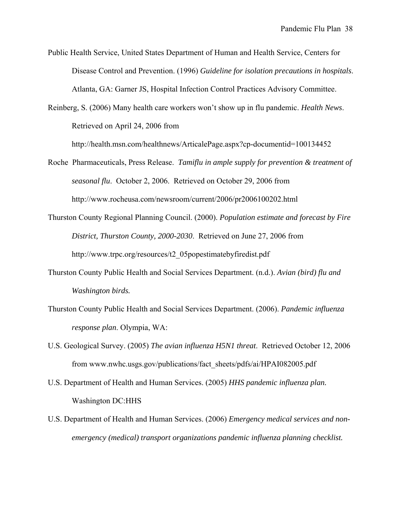Public Health Service, United States Department of Human and Health Service, Centers for Disease Control and Prevention. (1996) *Guideline for isolation precautions in hospitals*. Atlanta, GA: Garner JS, Hospital Infection Control Practices Advisory Committee.

Reinberg, S. (2006) Many health care workers won't show up in flu pandemic. *Health News*. Retrieved on April 24, 2006 from

http://health.msn.com/healthnews/ArticalePage.aspx?cp-documentid=100134452

- Roche Pharmaceuticals, Press Release. *Tamiflu in ample supply for prevention & treatment of seasonal flu*. October 2, 2006. Retrieved on October 29, 2006 from http://www.rocheusa.com/newsroom/current/2006/pr2006100202.html
- Thurston County Regional Planning Council. (2000). *Population estimate and forecast by Fire District, Thurston County, 2000-2030*. Retrieved on June 27, 2006 from http://www.trpc.org/resources/t2\_05popestimatebyfiredist.pdf
- Thurston County Public Health and Social Services Department. (n.d.). *Avian (bird) flu and Washington birds.*
- Thurston County Public Health and Social Services Department. (2006). *Pandemic influenza response plan*. Olympia, WA:
- U.S. Geological Survey. (2005) *The avian influenza H5N1 threat*. Retrieved October 12, 2006 from www.nwhc.usgs.gov/publications/fact\_sheets/pdfs/ai/HPAI082005.pdf
- U.S. Department of Health and Human Services. (2005) *HHS pandemic influenza plan.* Washington DC:HHS
- U.S. Department of Health and Human Services. (2006) *Emergency medical services and nonemergency (medical) transport organizations pandemic influenza planning checklist.*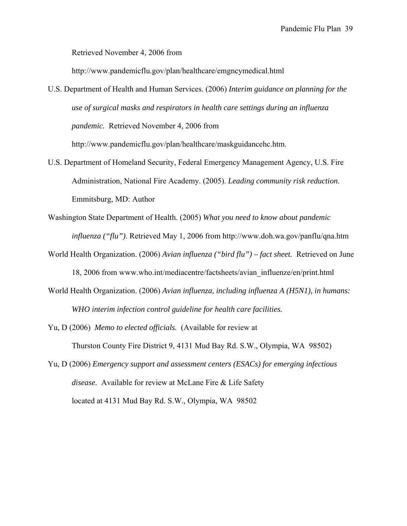Retrieved November 4, 2006 from

http://www.pandemicflu.gov/plan/healthcare/emgncymedical.html

- U.S. Department of Health and Human Services. (2006) *Interim guidance on planning for the use of surgical masks and respirators in health care settings during an influenza pandemic.* Retrieved November 4, 2006 from http://www.pandemicflu.gov/plan/healthcare/maskguidancehc.htm.
- U.S. Department of Homeland Security, Federal Emergency Management Agency, U.S. Fire Administration, National Fire Academy. (2005). *Leading community risk reduction*. Emmitsburg, MD: Author
- Washington State Department of Health. (2005) *What you need to know about pandemic influenza ("flu")*. Retrieved May 1, 2006 from http://www.doh.wa.gov/panflu/qna.htm
- World Health Organization. (2006) *Avian influenza ("bird flu") fact sheet.* Retrieved on June 18, 2006 from www.who.int/mediacentre/factsheets/avian\_influenze/en/print.html
- World Health Organization. (2006) *Avian influenza, including influenza A (H5N1), in humans: WHO interim infection control guideline for health care facilities.*
- Yu, D (2006) *Memo to elected officials.* (Available for review at Thurston County Fire District 9, 4131 Mud Bay Rd. S.W., Olympia, WA 98502)
- Yu, D (2006) *Emergency support and assessment centers (ESACs) for emerging infectious disease.* Available for review at McLane Fire & Life Safety located at 4131 Mud Bay Rd. S.W., Olympia, WA 98502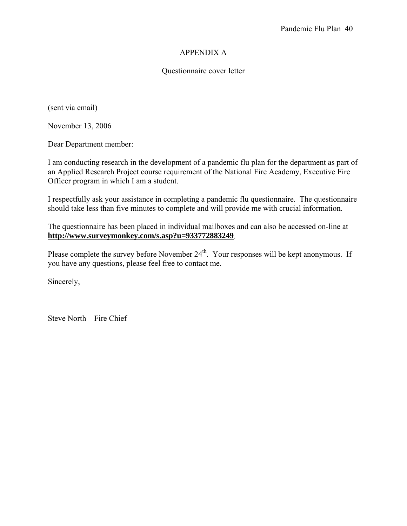## APPENDIX A

## Questionnaire cover letter

(sent via email)

November 13, 2006

Dear Department member:

I am conducting research in the development of a pandemic flu plan for the department as part of an Applied Research Project course requirement of the National Fire Academy, Executive Fire Officer program in which I am a student.

I respectfully ask your assistance in completing a pandemic flu questionnaire. The questionnaire should take less than five minutes to complete and will provide me with crucial information.

The questionnaire has been placed in individual mailboxes and can also be accessed on-line at **http://www.surveymonkey.com/s.asp?u=933772883249**.

Please complete the survey before November 24<sup>th</sup>. Your responses will be kept anonymous. If you have any questions, please feel free to contact me.

Sincerely,

Steve North – Fire Chief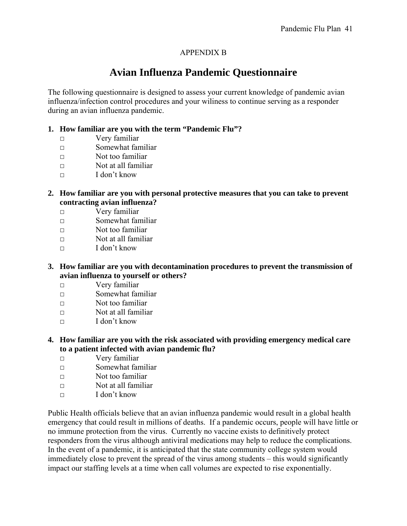## APPENDIX B

# **Avian Influenza Pandemic Questionnaire**

The following questionnaire is designed to assess your current knowledge of pandemic avian influenza/infection control procedures and your wiliness to continue serving as a responder during an avian influenza pandemic.

## **1. How familiar are you with the term "Pandemic Flu"?**

- □ Very familiar
- $\neg$  Somewhat familiar
- $\neg$  Not too familiar
- $\Box$  Not at all familiar
- □ I don't know
- **2. How familiar are you with personal protective measures that you can take to prevent contracting avian influenza?** 
	- □ Very familiar
	- $\neg$  Somewhat familiar
	- $\neg$  Not too familiar
	- $\nabla$  Not at all familiar
	- $\Box$  I don't know
- **3. How familiar are you with decontamination procedures to prevent the transmission of avian influenza to yourself or others?** 
	- □ Very familiar
	- $\neg$  Somewhat familiar
	- $\neg$  Not too familiar
	- $\nabla$  Not at all familiar
	- $\Box$  I don't know
- **4. How familiar are you with the risk associated with providing emergency medical care to a patient infected with avian pandemic flu?** 
	- □ Very familiar
	- □ Somewhat familiar
	- □ Not too familiar
	- $\nabla$  Not at all familiar
	- $\Box$  I don't know

Public Health officials believe that an avian influenza pandemic would result in a global health emergency that could result in millions of deaths. If a pandemic occurs, people will have little or no immune protection from the virus. Currently no vaccine exists to definitively protect responders from the virus although antiviral medications may help to reduce the complications. In the event of a pandemic, it is anticipated that the state community college system would immediately close to prevent the spread of the virus among students – this would significantly impact our staffing levels at a time when call volumes are expected to rise exponentially.